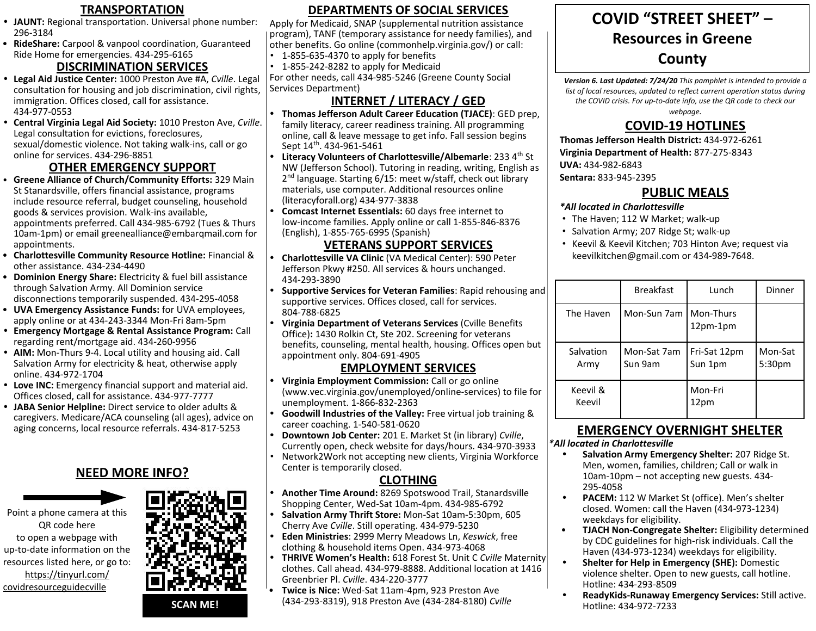- **• JAUNT:** Regional transportation. Universal phone number: 296-3184
- **RideShare:** Carpool & vanpool coordination, Guaranteed Ride Home for emergencies. 434-295-6165

### **DISCRIMINATION SERVICES**

- **• Legal Aid Justice Center:** 1000 Preston Ave #A, *Cville*. Legal consultation for housing and job discrimination, civil rights, immigration. Offices closed, call for assistance. 434-977-0553
- **• Central Virginia Legal Aid Society:** 1010 Preston Ave, *Cville*. Legal consultation for evictions, foreclosures, sexual/domestic violence. Not taking walk-ins, call or go online for services. 434-296-8851

### **OTHER EMERGENCY SUPPORT**

- **Greene Alliance of Church/Community Efforts:** 329 Main St Stanardsville, offers financial assistance, programs include resource referral, budget counseling, household goods & services provision. Walk-ins available, appointments preferred. Call 434-985-6792 (Tues & Thurs 10am-1pm) or email greenealliance@embarqmail.com for appointments.
- **Charlottesville Community Resource Hotline:** Financial & other assistance. 434-234-4490
- **Dominion Energy Share:** Electricity & fuel bill assistance through Salvation Army. All Dominion service disconnections temporarily suspended. 434-295-4058
- **UVA Emergency Assistance Funds:** for UVA employees, apply online or at 434-243-3344 Mon-Fri 8am-5pm
- **• Emergency Mortgage & Rental Assistance Program:** Call regarding rent/mortgage aid. 434-260-9956
- **• AIM:** Mon-Thurs 9-4. Local utility and housing aid. Call Salvation Army for electricity & heat, otherwise apply online. 434-972-1704
- **• Love INC:** Emergency financial support and material aid. Offices closed, call for assistance. 434-977-7777
- **• JABA Senior Helpline:** Direct service to older adults & caregivers. Medicare/ACA counseling (all ages), advice on aging concerns, local resource referrals. 434-817-5253

### **NEED MORE INFO?**





TRANSPORTATION **DEPARTMENTS OF SOCIAL SERVICES DEPARTMENTS OF SOCIAL SERVICES**

Apply for Medicaid, SNAP (supplemental nutrition assistance program), TANF (temporary assistance for needy families), and other benefits. Go online (commonhelp.virginia.gov/) or call:

- 1-855-635-4370 to apply for benefits
- 1-855-242-8282 to apply for Medicaid

For other needs, call 434-985-5246 (Greene County Social Services Department)

# **INTERNET / LITERACY / GED**

- **• Thomas Jefferson Adult Career Education (TJACE)**: GED prep, family literacy, career readiness training. All programming online, call & leave message to get info. Fall session begins Sept 14<sup>th</sup>. 434-961-5461
- **Literacy Volunteers of Charlottesville/Albemarle: 233 4<sup>th</sup> St** NW (Jefferson School). Tutoring in reading, writing, English as 2<sup>nd</sup> language. Starting 6/15: meet w/staff, check out library materials, use computer. Additional resources online (literacyforall.org) 434-977-3838
- **• Comcast Internet Essentials:** 60 days free internet to low-income families. Apply online or call 1-855-846-8376 (English), 1-855-765-6995 (Spanish)

## **VETERANS SUPPORT SERVICES**

- **• Charlottesville VA Clinic** (VA Medical Center): 590 Peter Jefferson Pkwy #250. All services & hours unchanged. 434-293-3890
- **• Supportive Services for Veteran Families**: Rapid rehousing and supportive services. Offices closed, call for services. 804-788-6825
- **• Virginia Department of Veterans Services** (Cville Benefits Office)**:** 1430 Rolkin Ct, Ste 202. Screening for veterans benefits, counseling, mental health, housing. Offices open but appointment only. 804-691-4905

#### **EMPLOYMENT SERVICES**

- **• Virginia Employment Commission:** Call or go online (www.vec.virginia.gov/unemployed/online-services) to file for unemployment. 1-866-832-2363
- **• Goodwill Industries of the Valley:** Free virtual job training & career coaching. 1-540-581-0620
- **• Downtown Job Center:** 201 E. Market St (in library) *Cville*, Currently open, check website for days/hours. 434-970-3933
- Network2Work not accepting new clients, Virginia Workforce Center is temporarily closed.

### **CLOTHING**

- **• Another Time Around:** 8269 Spotswood Trail, Stanardsville Shopping Center, Wed-Sat 10am-4pm. 434-985-6792
- **• Salvation Army Thrift Store:** Mon-Sat 10am-5:30pm, 605 Cherry Ave *Cville*. Still operating. 434-979-5230
- **• Eden Ministries**: 2999 Merry Meadows Ln, *Keswick*, free clothing & household items Open. 434-973-4068
- **• THRIVE Women's Health:** 618 Forest St. Unit C *Cville* Maternity clothes. Call ahead. 434-979-8888. Additional location at 1416 Greenbrier Pl. *Cville*. 434-220-3777
- **Twice is Nice:** Wed-Sat 11am-4pm, 923 Preston Ave (434-293-8319), 918 Preston Ave (434-284-8180) *Cville*

# **COVID "STREET SHEET" – Resources in Greene County**

*Version 6. Last Updated: 7/24/20 This pamphlet is intended to provide a list of local resources, updated to reflect current operation status during the COVID crisis. For up-to-date info, use the QR code to check our* 

*webpage.* 

# **COVID-19 HOTLINES**

**Thomas Jefferson Health District:** 434-972-6261 **Virginia Department of Health:** 877-275-8343 **UVA:** 434-982-6843 **Sentara:** 833-945-2395

### **PUBLIC MEALS**

#### *\*All located in Charlottesville*

- The Haven; 112 W Market; walk-up
- Salvation Army; 207 Ridge St; walk-up
- Keevil & Keevil Kitchen; 703 Hinton Ave; request via keevilkitchen@gmail.com or 434-989-7648.

|                    | <b>Breakfast</b>        | Lunch                   | Dinner            |
|--------------------|-------------------------|-------------------------|-------------------|
| The Haven          | Mon-Sun 7am   Mon-Thurs | $12pm-1pm$              |                   |
| Salvation<br>Army  | Mon-Sat 7am<br>Sun 9am  | Fri-Sat 12pm<br>Sun 1pm | Mon-Sat<br>5:30pm |
| Keevil &<br>Keevil |                         | Mon-Fri<br>12pm         |                   |

### **EMERGENCY OVERNIGHT SHELTER**

#### *\*All located in Charlottesville*

- **• Salvation Army Emergency Shelter:** 207 Ridge St. Men, women, families, children; Call or walk in 10am-10pm – not accepting new guests. 434- 295-4058
- **• PACEM:** 112 W Market St (office). Men's shelter closed. Women: call the Haven (434-973-1234) weekdays for eligibility.
- **TJACH Non-Congregate Shelter:** Eligibility determined by CDC guidelines for high-risk individuals. Call the Haven (434-973-1234) weekdays for eligibility.
- **• Shelter for Help in Emergency (SHE):** Domestic violence shelter. Open to new guests, call hotline. Hotline: 434-293-8509
- **• ReadyKids-Runaway Emergency Services:** Still active. Hotline: 434-972-7233

**SCAN ME!**